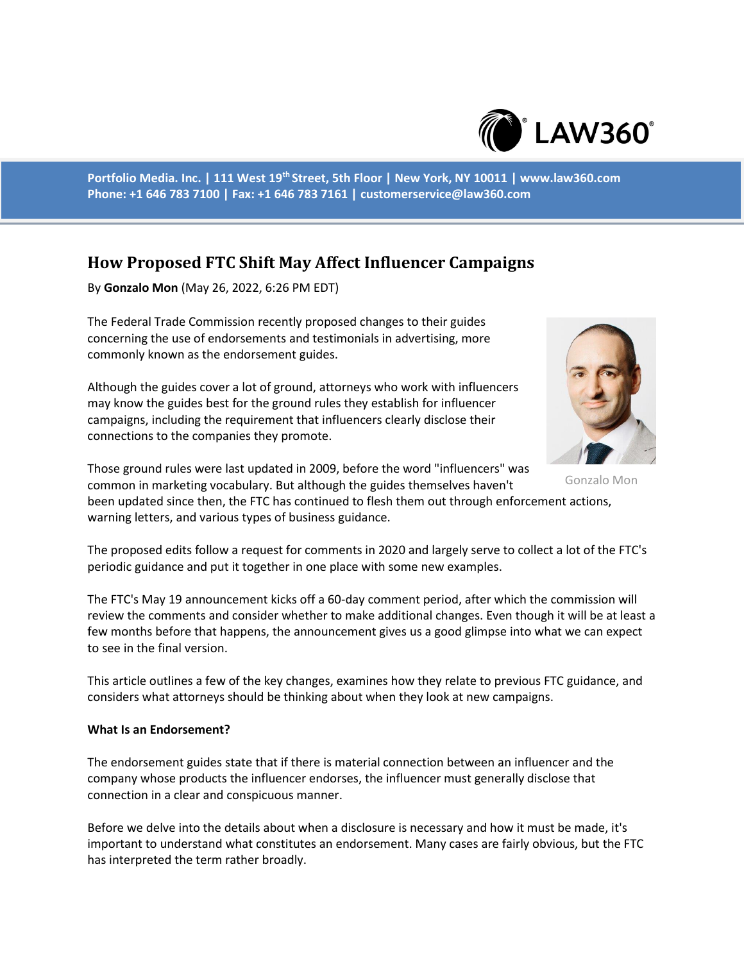

**Portfolio Media. Inc. | 111 West 19th Street, 5th Floor | New York, NY 10011 | www.law360.com Phone: +1 646 783 7100 | Fax: +1 646 783 7161 | customerservice@law360.com**

# **How Proposed FTC Shift May Affect Influencer Campaigns**

By **Gonzalo Mon** (May 26, 2022, 6:26 PM EDT)

The Federal Trade Commission recently proposed changes to their guides concerning the use of endorsements and testimonials in advertising, more commonly known as the endorsement guides.

Although the guides cover a lot of ground, attorneys who work with influencers may know the guides best for the ground rules they establish for influencer campaigns, including the requirement that influencers clearly disclose their connections to the companies they promote.

Those ground rules were last updated in 2009, before the word "influencers" was common in marketing vocabulary. But although the guides themselves haven't

been updated since then, the FTC has continued to flesh them out through enforcement actions, warning letters, and various types of business guidance.

The proposed edits follow a request for comments in 2020 and largely serve to collect a lot of the FTC's periodic guidance and put it together in one place with some new examples.

The FTC's May 19 announcement kicks off a 60-day comment period, after which the commission will review the comments and consider whether to make additional changes. Even though it will be at least a few months before that happens, the announcement gives us a good glimpse into what we can expect to see in the final version.

This article outlines a few of the key changes, examines how they relate to previous FTC guidance, and considers what attorneys should be thinking about when they look at new campaigns.

#### **What Is an Endorsement?**

The endorsement guides state that if there is material connection between an influencer and the company whose products the influencer endorses, the influencer must generally disclose that connection in a clear and conspicuous manner.

Before we delve into the details about when a disclosure is necessary and how it must be made, it's important to understand what constitutes an endorsement. Many cases are fairly obvious, but the FTC has interpreted the term rather broadly.



Gonzalo Mon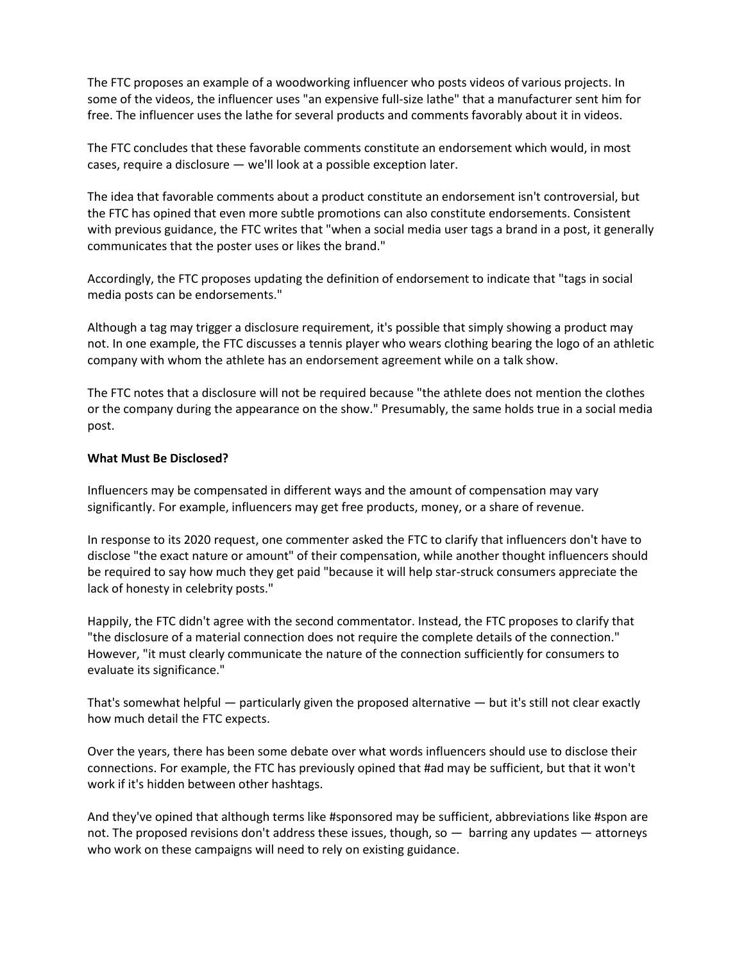The FTC proposes an example of a woodworking influencer who posts videos of various projects. In some of the videos, the influencer uses "an expensive full-size lathe" that a manufacturer sent him for free. The influencer uses the lathe for several products and comments favorably about it in videos.

The FTC concludes that these favorable comments constitute an endorsement which would, in most cases, require a disclosure — we'll look at a possible exception later.

The idea that favorable comments about a product constitute an endorsement isn't controversial, but the FTC has opined that even more subtle promotions can also constitute endorsements. Consistent with previous guidance, the FTC writes that "when a social media user tags a brand in a post, it generally communicates that the poster uses or likes the brand."

Accordingly, the FTC proposes updating the definition of endorsement to indicate that "tags in social media posts can be endorsements."

Although a tag may trigger a disclosure requirement, it's possible that simply showing a product may not. In one example, the FTC discusses a tennis player who wears clothing bearing the logo of an athletic company with whom the athlete has an endorsement agreement while on a talk show.

The FTC notes that a disclosure will not be required because "the athlete does not mention the clothes or the company during the appearance on the show." Presumably, the same holds true in a social media post.

#### **What Must Be Disclosed?**

Influencers may be compensated in different ways and the amount of compensation may vary significantly. For example, influencers may get free products, money, or a share of revenue.

In response to its 2020 request, one commenter asked the FTC to clarify that influencers don't have to disclose "the exact nature or amount" of their compensation, while another thought influencers should be required to say how much they get paid "because it will help star-struck consumers appreciate the lack of honesty in celebrity posts."

Happily, the FTC didn't agree with the second commentator. Instead, the FTC proposes to clarify that "the disclosure of a material connection does not require the complete details of the connection." However, "it must clearly communicate the nature of the connection sufficiently for consumers to evaluate its significance."

That's somewhat helpful — particularly given the proposed alternative — but it's still not clear exactly how much detail the FTC expects.

Over the years, there has been some debate over what words influencers should use to disclose their connections. For example, the FTC has previously opined that #ad may be sufficient, but that it won't work if it's hidden between other hashtags.

And they've opined that although terms like #sponsored may be sufficient, abbreviations like #spon are not. The proposed revisions don't address these issues, though, so — barring any updates — attorneys who work on these campaigns will need to rely on existing guidance.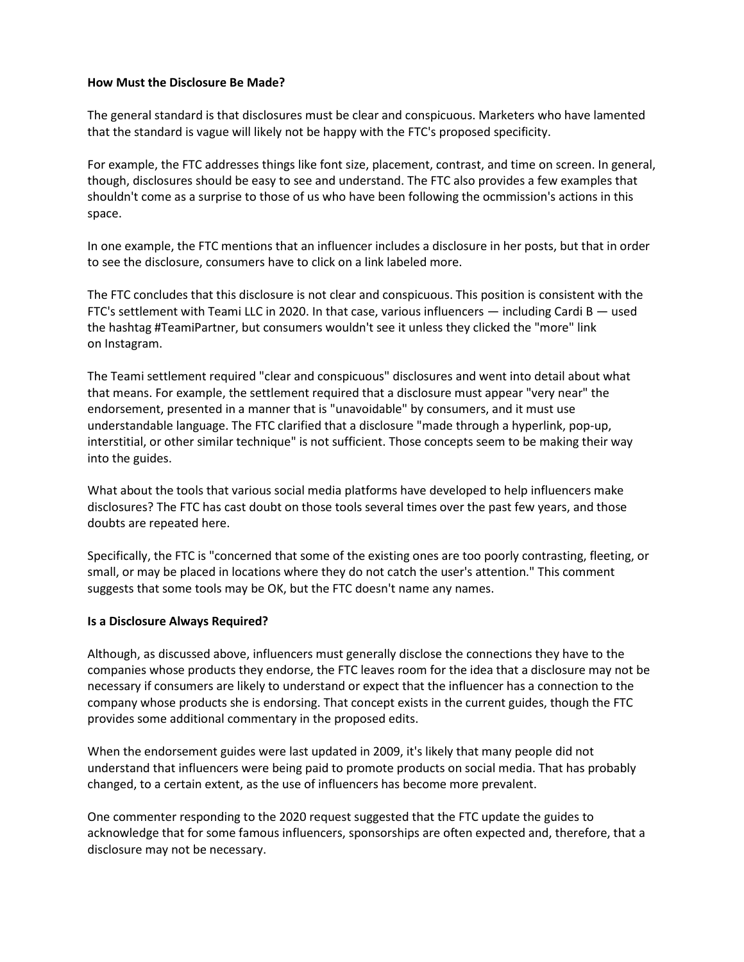#### **How Must the Disclosure Be Made?**

The general standard is that disclosures must be clear and conspicuous. Marketers who have lamented that the standard is vague will likely not be happy with the FTC's proposed specificity.

For example, the FTC addresses things like font size, placement, contrast, and time on screen. In general, though, disclosures should be easy to see and understand. The FTC also provides a few examples that shouldn't come as a surprise to those of us who have been following the ocmmission's actions in this space.

In one example, the FTC mentions that an influencer includes a disclosure in her posts, but that in order to see the disclosure, consumers have to click on a link labeled more.

The FTC concludes that this disclosure is not clear and conspicuous. This position is consistent with the FTC's settlement with Teami LLC in 2020. In that case, various influencers  $-$  including Cardi B  $-$  used the hashtag #TeamiPartner, but consumers wouldn't see it unless they clicked the "more" link on Instagram.

The Teami settlement required "clear and conspicuous" disclosures and went into detail about what that means. For example, the settlement required that a disclosure must appear "very near" the endorsement, presented in a manner that is "unavoidable" by consumers, and it must use understandable language. The FTC clarified that a disclosure "made through a hyperlink, pop-up, interstitial, or other similar technique" is not sufficient. Those concepts seem to be making their way into the guides.

What about the tools that various social media platforms have developed to help influencers make disclosures? The FTC has cast doubt on those tools several times over the past few years, and those doubts are repeated here.

Specifically, the FTC is "concerned that some of the existing ones are too poorly contrasting, fleeting, or small, or may be placed in locations where they do not catch the user's attention." This comment suggests that some tools may be OK, but the FTC doesn't name any names.

## **Is a Disclosure Always Required?**

Although, as discussed above, influencers must generally disclose the connections they have to the companies whose products they endorse, the FTC leaves room for the idea that a disclosure may not be necessary if consumers are likely to understand or expect that the influencer has a connection to the company whose products she is endorsing. That concept exists in the current guides, though the FTC provides some additional commentary in the proposed edits.

When the endorsement guides were last updated in 2009, it's likely that many people did not understand that influencers were being paid to promote products on social media. That has probably changed, to a certain extent, as the use of influencers has become more prevalent.

One commenter responding to the 2020 request suggested that the FTC update the guides to acknowledge that for some famous influencers, sponsorships are often expected and, therefore, that a disclosure may not be necessary.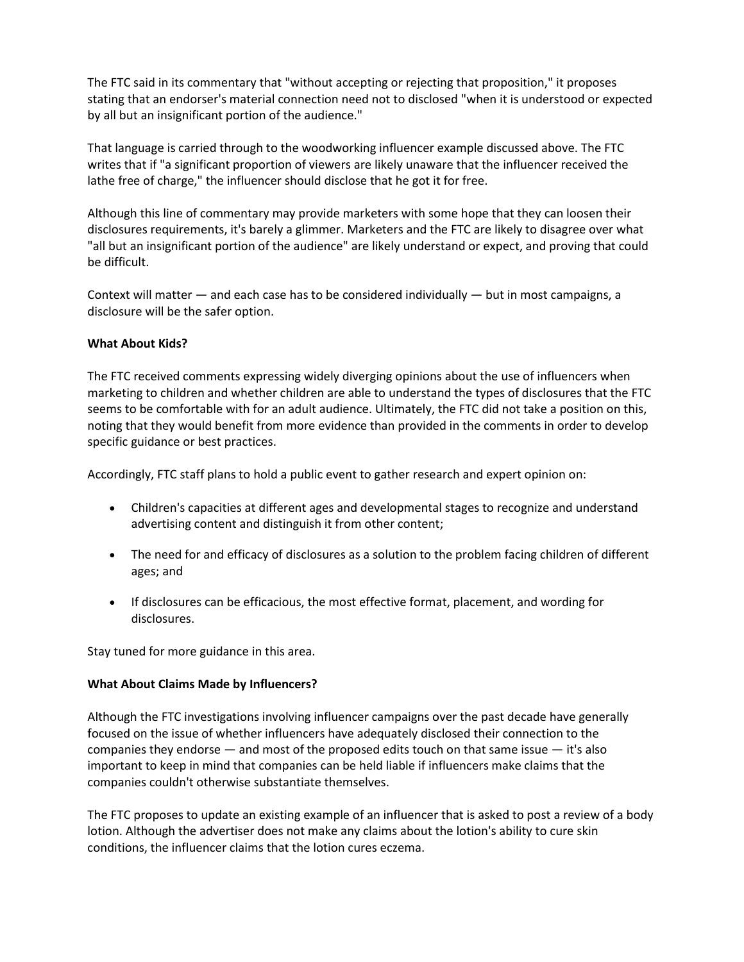The FTC said in its commentary that "without accepting or rejecting that proposition," it proposes stating that an endorser's material connection need not to disclosed "when it is understood or expected by all but an insignificant portion of the audience."

That language is carried through to the woodworking influencer example discussed above. The FTC writes that if "a significant proportion of viewers are likely unaware that the influencer received the lathe free of charge," the influencer should disclose that he got it for free.

Although this line of commentary may provide marketers with some hope that they can loosen their disclosures requirements, it's barely a glimmer. Marketers and the FTC are likely to disagree over what "all but an insignificant portion of the audience" are likely understand or expect, and proving that could be difficult.

Context will matter — and each case has to be considered individually — but in most campaigns, a disclosure will be the safer option.

## **What About Kids?**

The FTC received comments expressing widely diverging opinions about the use of influencers when marketing to children and whether children are able to understand the types of disclosures that the FTC seems to be comfortable with for an adult audience. Ultimately, the FTC did not take a position on this, noting that they would benefit from more evidence than provided in the comments in order to develop specific guidance or best practices.

Accordingly, FTC staff plans to hold a public event to gather research and expert opinion on:

- Children's capacities at different ages and developmental stages to recognize and understand advertising content and distinguish it from other content;
- The need for and efficacy of disclosures as a solution to the problem facing children of different ages; and
- If disclosures can be efficacious, the most effective format, placement, and wording for disclosures.

Stay tuned for more guidance in this area.

## **What About Claims Made by Influencers?**

Although the FTC investigations involving influencer campaigns over the past decade have generally focused on the issue of whether influencers have adequately disclosed their connection to the companies they endorse  $-$  and most of the proposed edits touch on that same issue  $-$  it's also important to keep in mind that companies can be held liable if influencers make claims that the companies couldn't otherwise substantiate themselves.

The FTC proposes to update an existing example of an influencer that is asked to post a review of a body lotion. Although the advertiser does not make any claims about the lotion's ability to cure skin conditions, the influencer claims that the lotion cures eczema.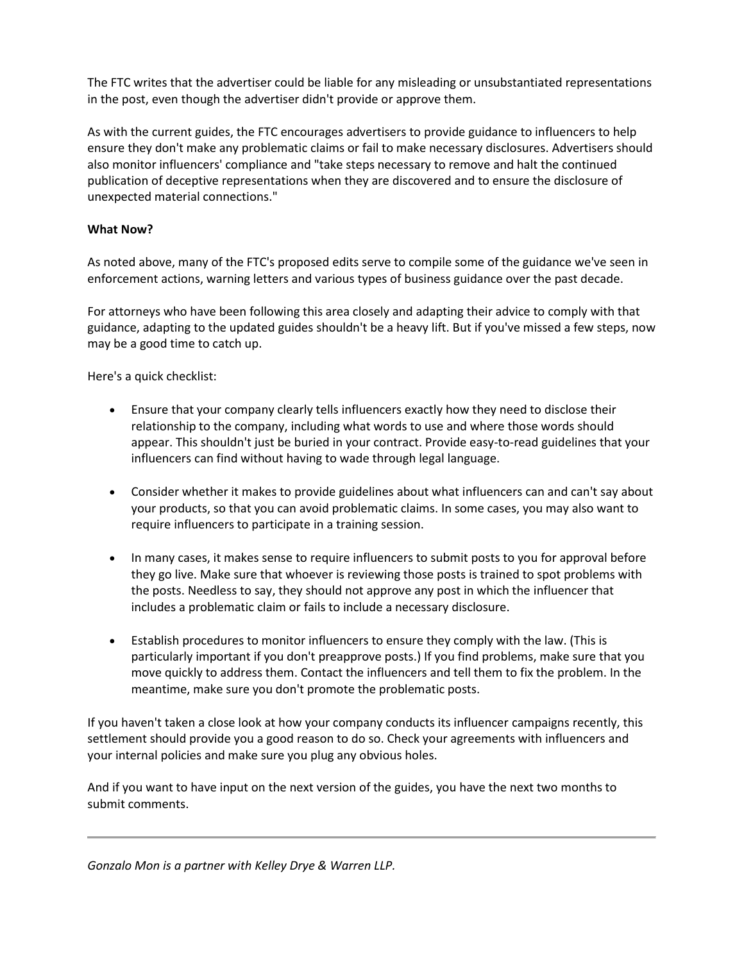The FTC writes that the advertiser could be liable for any misleading or unsubstantiated representations in the post, even though the advertiser didn't provide or approve them.

As with the current guides, the FTC encourages advertisers to provide guidance to influencers to help ensure they don't make any problematic claims or fail to make necessary disclosures. Advertisers should also monitor influencers' compliance and "take steps necessary to remove and halt the continued publication of deceptive representations when they are discovered and to ensure the disclosure of unexpected material connections."

# **What Now?**

As noted above, many of the FTC's proposed edits serve to compile some of the guidance we've seen in enforcement actions, warning letters and various types of business guidance over the past decade.

For attorneys who have been following this area closely and adapting their advice to comply with that guidance, adapting to the updated guides shouldn't be a heavy lift. But if you've missed a few steps, now may be a good time to catch up.

Here's a quick checklist:

- Ensure that your company clearly tells influencers exactly how they need to disclose their relationship to the company, including what words to use and where those words should appear. This shouldn't just be buried in your contract. Provide easy-to-read guidelines that your influencers can find without having to wade through legal language.
- Consider whether it makes to provide guidelines about what influencers can and can't say about your products, so that you can avoid problematic claims. In some cases, you may also want to require influencers to participate in a training session.
- In many cases, it makes sense to require influencers to submit posts to you for approval before they go live. Make sure that whoever is reviewing those posts is trained to spot problems with the posts. Needless to say, they should not approve any post in which the influencer that includes a problematic claim or fails to include a necessary disclosure.
- Establish procedures to monitor influencers to ensure they comply with the law. (This is particularly important if you don't preapprove posts.) If you find problems, make sure that you move quickly to address them. Contact the influencers and tell them to fix the problem. In the meantime, make sure you don't promote the problematic posts.

If you haven't taken a close look at how your company conducts its influencer campaigns recently, this settlement should provide you a good reason to do so. Check your agreements with influencers and your internal policies and make sure you plug any obvious holes.

And if you want to have input on the next version of the guides, you have the next two months to submit comments.

*Gonzalo Mon is a partner with Kelley Drye & Warren LLP.*